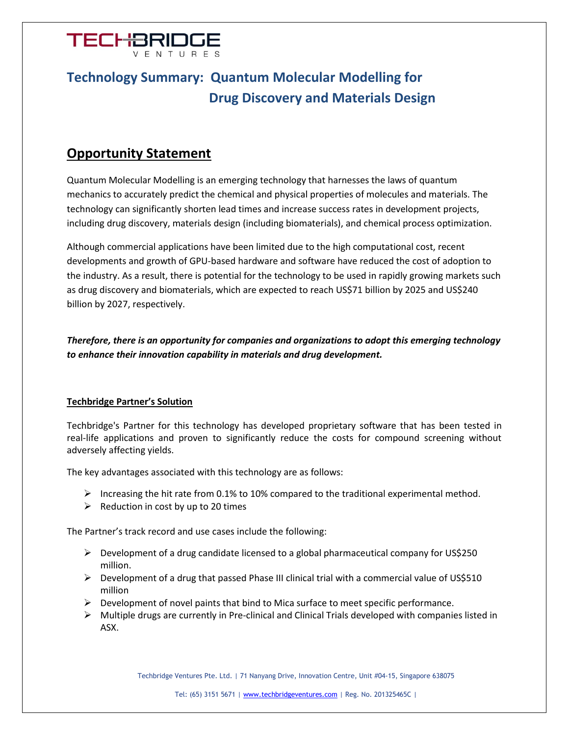

## **Technology Summary: Quantum Molecular Modelling for Drug Discovery and Materials Design**

## **Opportunity Statement**

Quantum Molecular Modelling is an emerging technology that harnesses the laws of quantum mechanics to accurately predict the chemical and physical properties of molecules and materials. The technology can significantly shorten lead times and increase success rates in development projects, including drug discovery, materials design (including biomaterials), and chemical process optimization.

Although commercial applications have been limited due to the high computational cost, recent developments and growth of GPU-based hardware and software have reduced the cost of adoption to the industry. As a result, there is potential for the technology to be used in rapidly growing markets such as drug discovery and biomaterials, which are expected to reach US\$71 billion by 2025 and US\$240 billion by 2027, respectively.

*Therefore, there is an opportunity for companies and organizations to adopt this emerging technology to enhance their innovation capability in materials and drug development.*

## **Techbridge Partner's Solution**

Techbridge's Partner for this technology has developed proprietary software that has been tested in real-life applications and proven to significantly reduce the costs for compound screening without adversely affecting yields.

The key advantages associated with this technology are as follows:

- $\triangleright$  Increasing the hit rate from 0.1% to 10% compared to the traditional experimental method.
- $\triangleright$  Reduction in cost by up to 20 times

The Partner's track record and use cases include the following:

- $\triangleright$  Development of a drug candidate licensed to a global pharmaceutical company for US\$250 million.
- $\triangleright$  Development of a drug that passed Phase III clinical trial with a commercial value of US\$510 million
- $\triangleright$  Development of novel paints that bind to Mica surface to meet specific performance.
- $\triangleright$  Multiple drugs are currently in Pre-clinical and Clinical Trials developed with companies listed in ASX.

Techbridge Ventures Pte. Ltd. | 71 Nanyang Drive, Innovation Centre, Unit #04-15, Singapore 638075